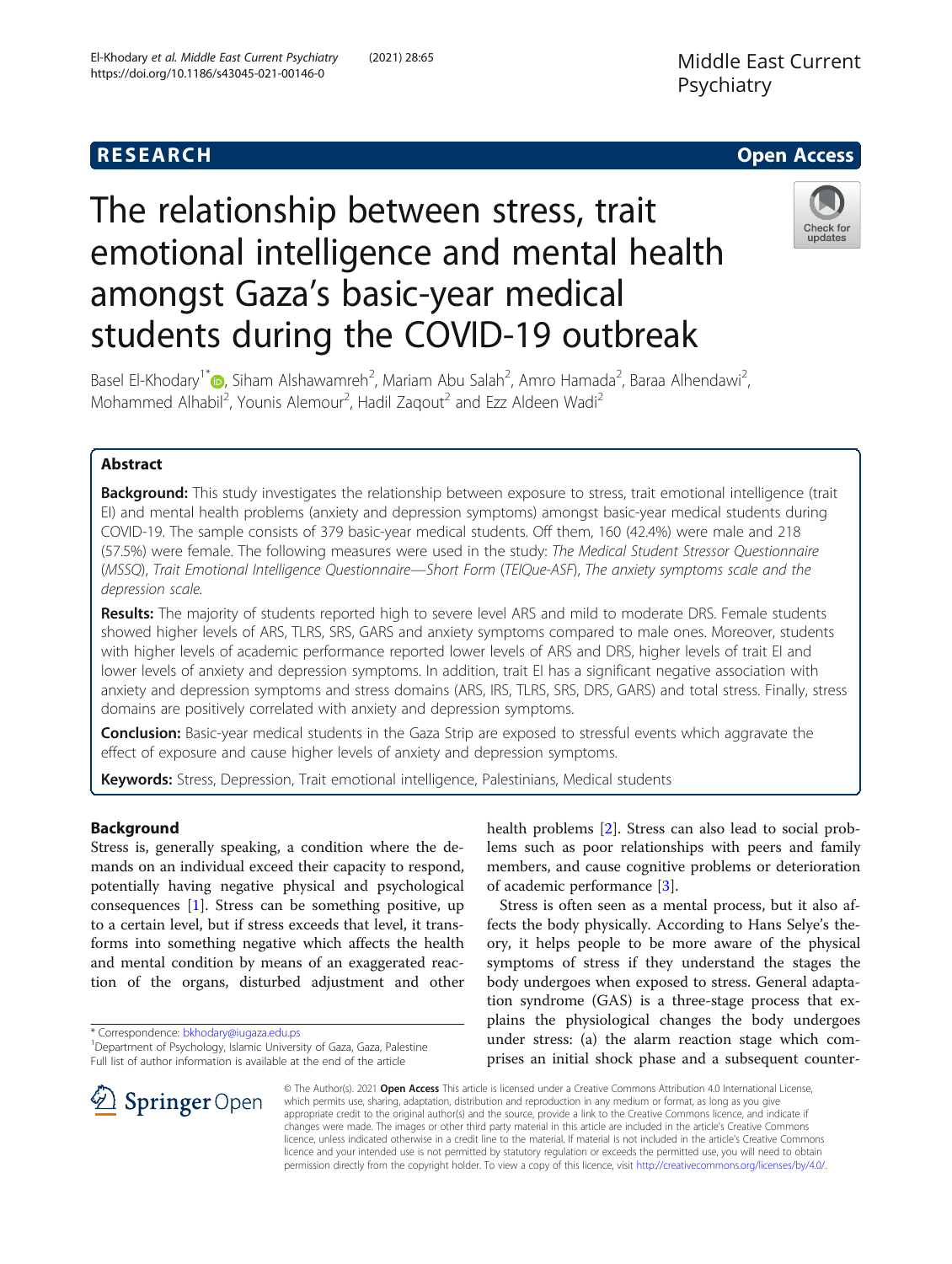## **RESEARCH CHILD CONTROL** CONTROL CONTROL CONTROL CONTROL CONTROL CONTROL CONTROL CONTROL CONTROL CONTROL CONTROL

# The relationship between stress, trait emotional intelligence and mental health amongst Gaza's basic-year medical students during the COVID-19 outbreak



Basel El-Khodary<sup>1\*</sup> (D[,](http://orcid.org/0000-0003-1087-7116) Siham Alshawamreh<sup>2</sup>, Mariam Abu Salah<sup>2</sup>, Amro Hamada<sup>2</sup>, Baraa Alhendawi<sup>2</sup> , Mohammed Alhabil<sup>2</sup>, Younis Alemour<sup>2</sup>, Hadil Zaqout<sup>2</sup> and Ezz Aldeen Wadi<sup>2</sup>

## Abstract

**Background:** This study investigates the relationship between exposure to stress, trait emotional intelligence (trait EI) and mental health problems (anxiety and depression symptoms) amongst basic-year medical students during COVID-19. The sample consists of 379 basic-year medical students. Off them, 160 (42.4%) were male and 218 (57.5%) were female. The following measures were used in the study: The Medical Student Stressor Questionnaire (MSSQ), Trait Emotional Intelligence Questionnaire—Short Form (TEIQue-ASF), The anxiety symptoms scale and the depression scale.

Results: The majority of students reported high to severe level ARS and mild to moderate DRS. Female students showed higher levels of ARS, TLRS, SRS, GARS and anxiety symptoms compared to male ones. Moreover, students with higher levels of academic performance reported lower levels of ARS and DRS, higher levels of trait EI and lower levels of anxiety and depression symptoms. In addition, trait EI has a significant negative association with anxiety and depression symptoms and stress domains (ARS, IRS, TLRS, SRS, DRS, GARS) and total stress. Finally, stress domains are positively correlated with anxiety and depression symptoms.

**Conclusion:** Basic-year medical students in the Gaza Strip are exposed to stressful events which aggravate the effect of exposure and cause higher levels of anxiety and depression symptoms.

Keywords: Stress, Depression, Trait emotional intelligence, Palestinians, Medical students

## Background

Stress is, generally speaking, a condition where the demands on an individual exceed their capacity to respond, potentially having negative physical and psychological consequences [\[1](#page-8-0)]. Stress can be something positive, up to a certain level, but if stress exceeds that level, it transforms into something negative which affects the health and mental condition by means of an exaggerated reaction of the organs, disturbed adjustment and other

 $\mathscr{L}$  Springer Open

<sup>1</sup>Department of Psychology, Islamic University of Gaza, Gaza, Palestine Full list of author information is available at the end of the article



Stress is often seen as a mental process, but it also affects the body physically. According to Hans Selye's theory, it helps people to be more aware of the physical symptoms of stress if they understand the stages the body undergoes when exposed to stress. General adaptation syndrome (GAS) is a three-stage process that explains the physiological changes the body undergoes under stress: (a) the alarm reaction stage which comprises an initial shock phase and a subsequent counter-

© The Author(s). 2021 Open Access This article is licensed under a Creative Commons Attribution 4.0 International License, which permits use, sharing, adaptation, distribution and reproduction in any medium or format, as long as you give appropriate credit to the original author(s) and the source, provide a link to the Creative Commons licence, and indicate if changes were made. The images or other third party material in this article are included in the article's Creative Commons licence, unless indicated otherwise in a credit line to the material. If material is not included in the article's Creative Commons licence and your intended use is not permitted by statutory regulation or exceeds the permitted use, you will need to obtain permission directly from the copyright holder. To view a copy of this licence, visit <http://creativecommons.org/licenses/by/4.0/>.

<sup>\*</sup> Correspondence: [bkhodary@iugaza.edu.ps](mailto:bkhodary@iugaza.edu.ps) <sup>1</sup>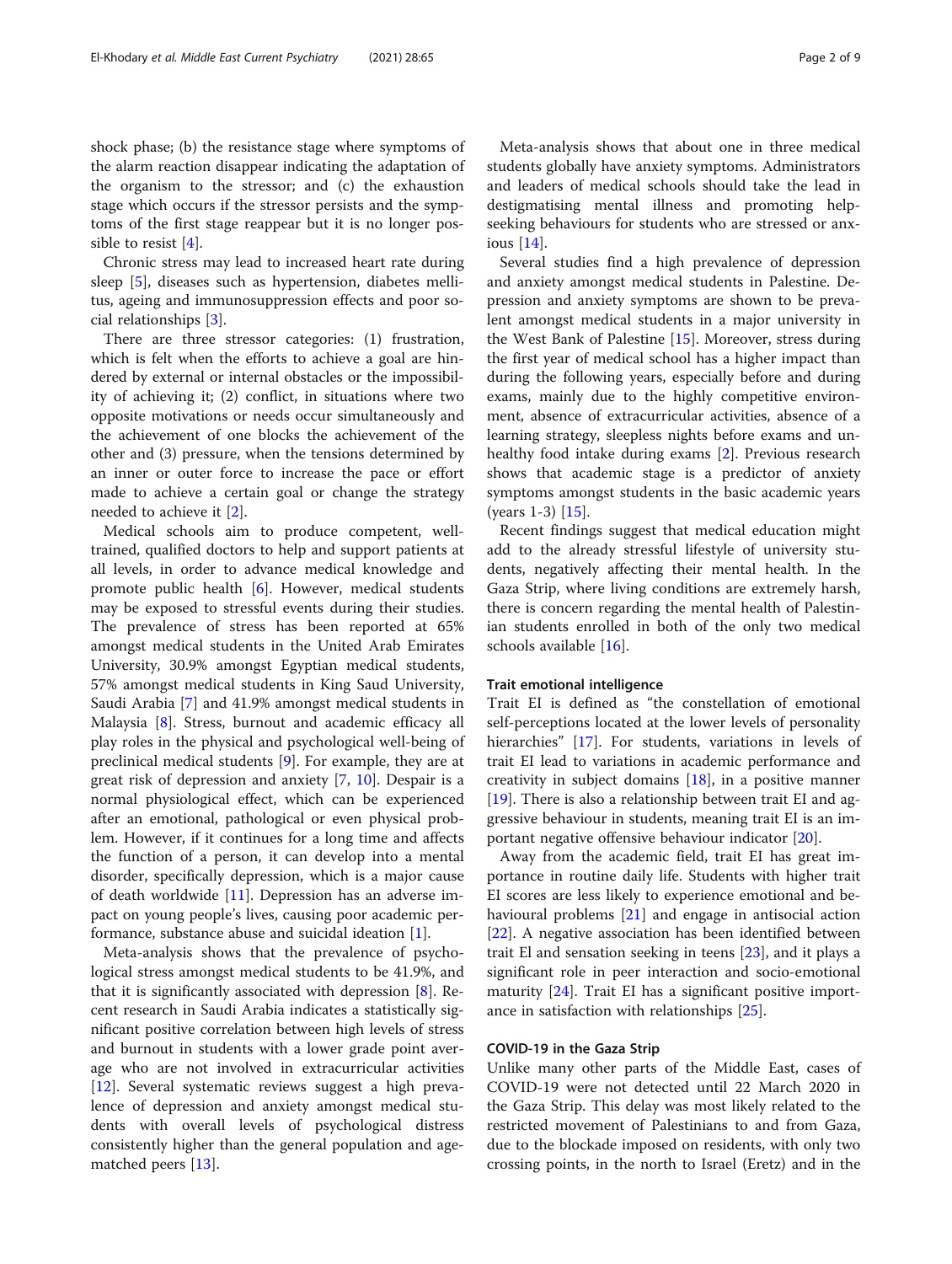shock phase; (b) the resistance stage where symptoms of the alarm reaction disappear indicating the adaptation of the organism to the stressor; and (c) the exhaustion stage which occurs if the stressor persists and the symptoms of the first stage reappear but it is no longer possible to resist [[4\]](#page-8-0).

Chronic stress may lead to increased heart rate during sleep [\[5](#page-8-0)], diseases such as hypertension, diabetes mellitus, ageing and immunosuppression effects and poor social relationships [[3\]](#page-8-0).

There are three stressor categories: (1) frustration, which is felt when the efforts to achieve a goal are hindered by external or internal obstacles or the impossibility of achieving it; (2) conflict, in situations where two opposite motivations or needs occur simultaneously and the achievement of one blocks the achievement of the other and (3) pressure, when the tensions determined by an inner or outer force to increase the pace or effort made to achieve a certain goal or change the strategy needed to achieve it [[2\]](#page-8-0).

Medical schools aim to produce competent, welltrained, qualified doctors to help and support patients at all levels, in order to advance medical knowledge and promote public health [\[6](#page-8-0)]. However, medical students may be exposed to stressful events during their studies. The prevalence of stress has been reported at 65% amongst medical students in the United Arab Emirates University, 30.9% amongst Egyptian medical students, 57% amongst medical students in King Saud University, Saudi Arabia [[7\]](#page-8-0) and 41.9% amongst medical students in Malaysia [\[8](#page-8-0)]. Stress, burnout and academic efficacy all play roles in the physical and psychological well-being of preclinical medical students [\[9](#page-8-0)]. For example, they are at great risk of depression and anxiety [\[7](#page-8-0), [10\]](#page-8-0). Despair is a normal physiological effect, which can be experienced after an emotional, pathological or even physical problem. However, if it continues for a long time and affects the function of a person, it can develop into a mental disorder, specifically depression, which is a major cause of death worldwide [[11\]](#page-8-0). Depression has an adverse impact on young people's lives, causing poor academic performance, substance abuse and suicidal ideation [[1](#page-8-0)].

Meta-analysis shows that the prevalence of psychological stress amongst medical students to be 41.9%, and that it is significantly associated with depression [[8\]](#page-8-0). Recent research in Saudi Arabia indicates a statistically significant positive correlation between high levels of stress and burnout in students with a lower grade point average who are not involved in extracurricular activities [[12\]](#page-8-0). Several systematic reviews suggest a high prevalence of depression and anxiety amongst medical students with overall levels of psychological distress consistently higher than the general population and agematched peers [\[13](#page-8-0)].

Meta-analysis shows that about one in three medical students globally have anxiety symptoms. Administrators and leaders of medical schools should take the lead in destigmatising mental illness and promoting helpseeking behaviours for students who are stressed or anxious [[14](#page-8-0)].

Several studies find a high prevalence of depression and anxiety amongst medical students in Palestine. Depression and anxiety symptoms are shown to be prevalent amongst medical students in a major university in the West Bank of Palestine [\[15](#page-8-0)]. Moreover, stress during the first year of medical school has a higher impact than during the following years, especially before and during exams, mainly due to the highly competitive environment, absence of extracurricular activities, absence of a learning strategy, sleepless nights before exams and unhealthy food intake during exams [[2\]](#page-8-0). Previous research shows that academic stage is a predictor of anxiety symptoms amongst students in the basic academic years (years 1-3) [\[15\]](#page-8-0).

Recent findings suggest that medical education might add to the already stressful lifestyle of university students, negatively affecting their mental health. In the Gaza Strip, where living conditions are extremely harsh, there is concern regarding the mental health of Palestinian students enrolled in both of the only two medical schools available [[16\]](#page-8-0).

#### Trait emotional intelligence

Trait EI is defined as "the constellation of emotional self-perceptions located at the lower levels of personality hierarchies" [[17](#page-8-0)]. For students, variations in levels of trait EI lead to variations in academic performance and creativity in subject domains [\[18](#page-8-0)], in a positive manner [[19\]](#page-8-0). There is also a relationship between trait EI and aggressive behaviour in students, meaning trait EI is an important negative offensive behaviour indicator [\[20\]](#page-8-0).

Away from the academic field, trait EI has great importance in routine daily life. Students with higher trait EI scores are less likely to experience emotional and behavioural problems [[21](#page-8-0)] and engage in antisocial action [[22\]](#page-8-0). A negative association has been identified between trait El and sensation seeking in teens [\[23\]](#page-8-0), and it plays a significant role in peer interaction and socio-emotional maturity [\[24](#page-8-0)]. Trait EI has a significant positive importance in satisfaction with relationships [[25](#page-8-0)].

## COVID-19 in the Gaza Strip

Unlike many other parts of the Middle East, cases of COVID-19 were not detected until 22 March 2020 in the Gaza Strip. This delay was most likely related to the restricted movement of Palestinians to and from Gaza, due to the blockade imposed on residents, with only two crossing points, in the north to Israel (Eretz) and in the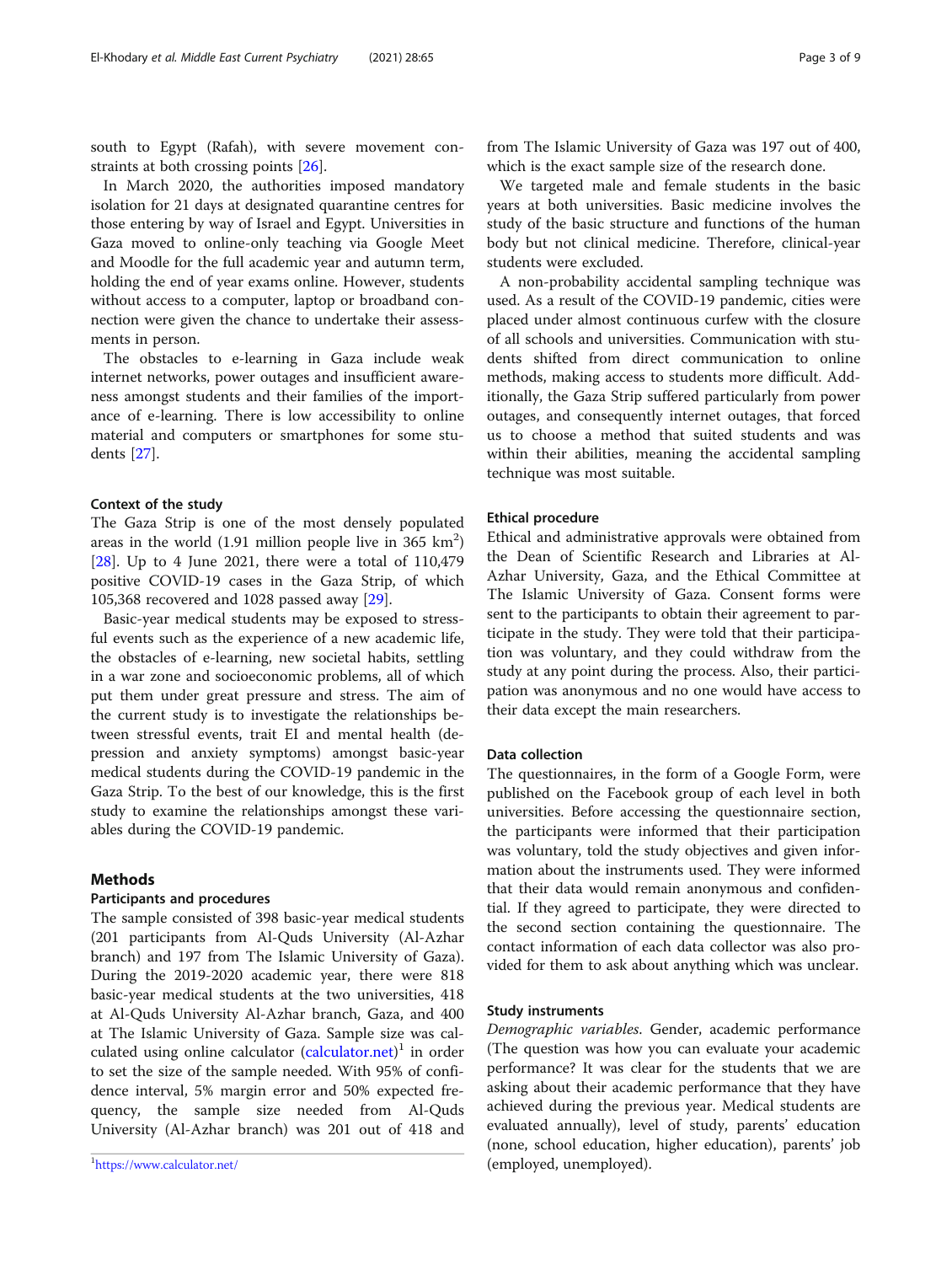south to Egypt (Rafah), with severe movement constraints at both crossing points [[26](#page-8-0)].

In March 2020, the authorities imposed mandatory isolation for 21 days at designated quarantine centres for those entering by way of Israel and Egypt. Universities in Gaza moved to online-only teaching via Google Meet and Moodle for the full academic year and autumn term, holding the end of year exams online. However, students without access to a computer, laptop or broadband connection were given the chance to undertake their assessments in person.

The obstacles to e-learning in Gaza include weak internet networks, power outages and insufficient awareness amongst students and their families of the importance of e-learning. There is low accessibility to online material and computers or smartphones for some students [[27\]](#page-8-0).

## Context of the study

The Gaza Strip is one of the most densely populated areas in the world  $(1.91 \text{ million people live in } 365 \text{ km}^2)$ [[28\]](#page-8-0). Up to 4 June 2021, there were a total of 110,479 positive COVID-19 cases in the Gaza Strip, of which 105,368 recovered and 1028 passed away [\[29](#page-8-0)].

Basic-year medical students may be exposed to stressful events such as the experience of a new academic life, the obstacles of e-learning, new societal habits, settling in a war zone and socioeconomic problems, all of which put them under great pressure and stress. The aim of the current study is to investigate the relationships between stressful events, trait EI and mental health (depression and anxiety symptoms) amongst basic-year medical students during the COVID-19 pandemic in the Gaza Strip. To the best of our knowledge, this is the first study to examine the relationships amongst these variables during the COVID-19 pandemic.

## Methods

## Participants and procedures

The sample consisted of 398 basic-year medical students (201 participants from Al-Quds University (Al-Azhar branch) and 197 from The Islamic University of Gaza). During the 2019-2020 academic year, there were 818 basic-year medical students at the two universities, 418 at Al-Quds University Al-Azhar branch, Gaza, and 400 at The Islamic University of Gaza. Sample size was cal-culated using online calculator [\(calculator.net](http://calculator.net))<sup>1</sup> in order to set the size of the sample needed. With 95% of confidence interval, 5% margin error and 50% expected frequency, the sample size needed from Al-Quds University (Al-Azhar branch) was 201 out of 418 and from The Islamic University of Gaza was 197 out of 400, which is the exact sample size of the research done.

We targeted male and female students in the basic years at both universities. Basic medicine involves the study of the basic structure and functions of the human body but not clinical medicine. Therefore, clinical-year students were excluded.

A non-probability accidental sampling technique was used. As a result of the COVID-19 pandemic, cities were placed under almost continuous curfew with the closure of all schools and universities. Communication with students shifted from direct communication to online methods, making access to students more difficult. Additionally, the Gaza Strip suffered particularly from power outages, and consequently internet outages, that forced us to choose a method that suited students and was within their abilities, meaning the accidental sampling technique was most suitable.

## Ethical procedure

Ethical and administrative approvals were obtained from the Dean of Scientific Research and Libraries at Al-Azhar University, Gaza, and the Ethical Committee at The Islamic University of Gaza. Consent forms were sent to the participants to obtain their agreement to participate in the study. They were told that their participation was voluntary, and they could withdraw from the study at any point during the process. Also, their participation was anonymous and no one would have access to their data except the main researchers.

## Data collection

The questionnaires, in the form of a Google Form, were published on the Facebook group of each level in both universities. Before accessing the questionnaire section, the participants were informed that their participation was voluntary, told the study objectives and given information about the instruments used. They were informed that their data would remain anonymous and confidential. If they agreed to participate, they were directed to the second section containing the questionnaire. The contact information of each data collector was also provided for them to ask about anything which was unclear.

## Study instruments

Demographic variables. Gender, academic performance (The question was how you can evaluate your academic performance? It was clear for the students that we are asking about their academic performance that they have achieved during the previous year. Medical students are evaluated annually), level of study, parents' education (none, school education, higher education), parents' job (employed, unemployed). <sup>1</sup>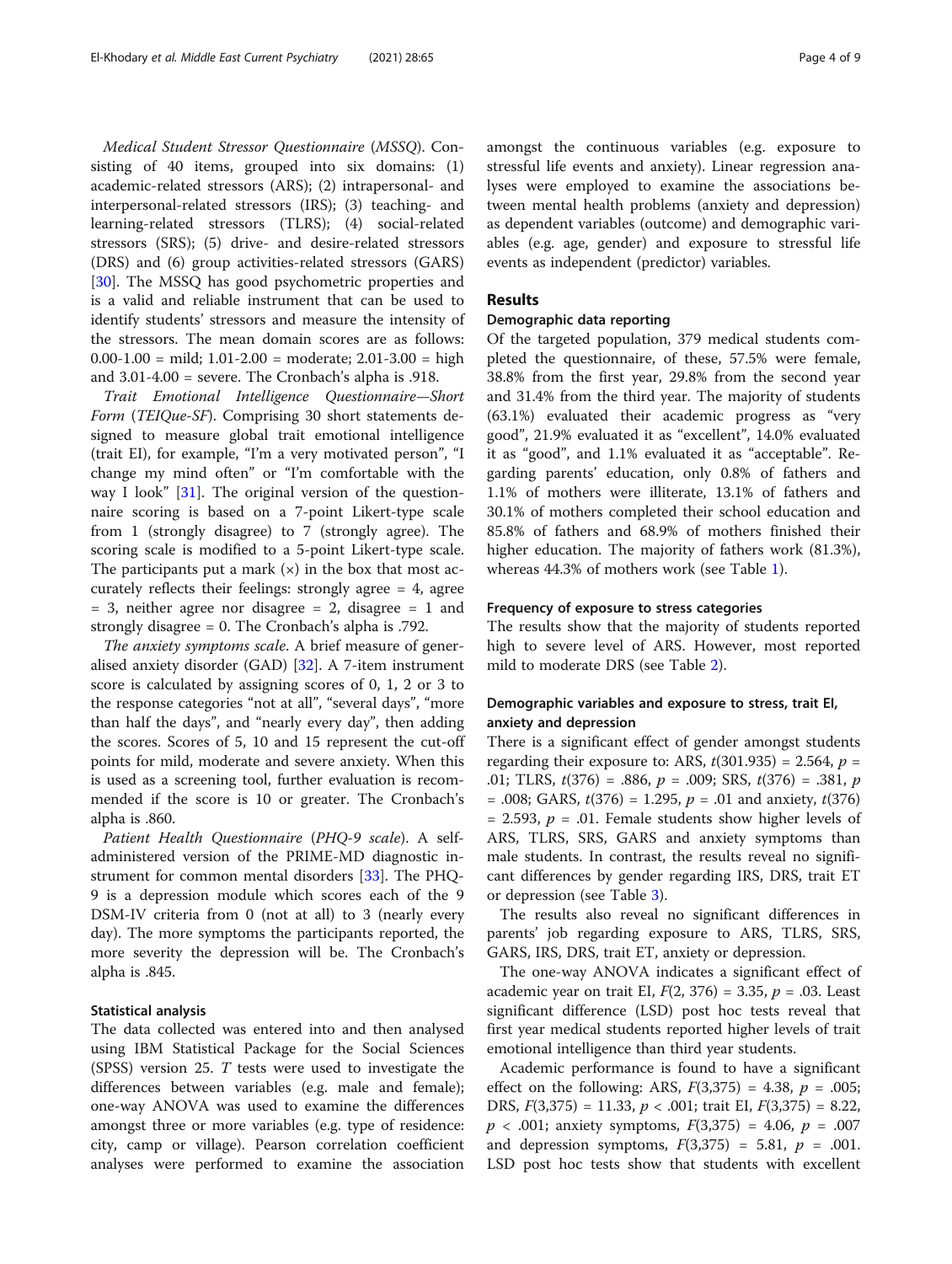Medical Student Stressor Questionnaire (MSSQ). Consisting of 40 items, grouped into six domains: (1) academic-related stressors (ARS); (2) intrapersonal- and interpersonal-related stressors (IRS); (3) teaching- and learning-related stressors (TLRS); (4) social-related stressors (SRS); (5) drive- and desire-related stressors (DRS) and (6) group activities-related stressors (GARS) [[30\]](#page-8-0). The MSSO has good psychometric properties and is a valid and reliable instrument that can be used to identify students' stressors and measure the intensity of the stressors. The mean domain scores are as follows:  $0.00-1.00 = \text{mild}$ ;  $1.01-2.00 = \text{moderate}$ ;  $2.01-3.00 = \text{high}$ and 3.01-4.00 = severe. The Cronbach's alpha is .918.

Trait Emotional Intelligence Questionnaire—Short Form (TEIQue-SF). Comprising 30 short statements designed to measure global trait emotional intelligence (trait EI), for example, "I'm a very motivated person", "I change my mind often" or "I'm comfortable with the way I look"  $[31]$ . The original version of the questionnaire scoring is based on a 7-point Likert-type scale from 1 (strongly disagree) to 7 (strongly agree). The scoring scale is modified to a 5-point Likert-type scale. The participants put a mark  $(x)$  in the box that most accurately reflects their feelings: strongly agree = 4, agree = 3, neither agree nor disagree = 2, disagree = 1 and strongly disagree = 0. The Cronbach's alpha is .792.

The anxiety symptoms scale. A brief measure of generalised anxiety disorder (GAD) [[32](#page-8-0)]. A 7-item instrument score is calculated by assigning scores of 0, 1, 2 or 3 to the response categories "not at all", "several days", "more than half the days", and "nearly every day", then adding the scores. Scores of 5, 10 and 15 represent the cut-off points for mild, moderate and severe anxiety. When this is used as a screening tool, further evaluation is recommended if the score is 10 or greater. The Cronbach's alpha is .860.

Patient Health Questionnaire (PHQ-9 scale). A selfadministered version of the PRIME-MD diagnostic instrument for common mental disorders [[33\]](#page-8-0). The PHQ-9 is a depression module which scores each of the 9 DSM-IV criteria from 0 (not at all) to 3 (nearly every day). The more symptoms the participants reported, the more severity the depression will be. The Cronbach's alpha is .845.

## Statistical analysis

The data collected was entered into and then analysed using IBM Statistical Package for the Social Sciences (SPSS) version 25. T tests were used to investigate the differences between variables (e.g. male and female); one-way ANOVA was used to examine the differences amongst three or more variables (e.g. type of residence: city, camp or village). Pearson correlation coefficient analyses were performed to examine the association amongst the continuous variables (e.g. exposure to stressful life events and anxiety). Linear regression analyses were employed to examine the associations between mental health problems (anxiety and depression) as dependent variables (outcome) and demographic variables (e.g. age, gender) and exposure to stressful life events as independent (predictor) variables.

## Results

## Demographic data reporting

Of the targeted population, 379 medical students completed the questionnaire, of these, 57.5% were female, 38.8% from the first year, 29.8% from the second year and 31.4% from the third year. The majority of students (63.1%) evaluated their academic progress as "very good", 21.9% evaluated it as "excellent", 14.0% evaluated it as "good", and 1.1% evaluated it as "acceptable". Regarding parents' education, only 0.8% of fathers and 1.1% of mothers were illiterate, 13.1% of fathers and 30.1% of mothers completed their school education and 85.8% of fathers and 68.9% of mothers finished their higher education. The majority of fathers work (81.3%), whereas 44.3% of mothers work (see Table [1\)](#page-4-0).

## Frequency of exposure to stress categories

The results show that the majority of students reported high to severe level of ARS. However, most reported mild to moderate DRS (see Table [2\)](#page-4-0).

## Demographic variables and exposure to stress, trait EI, anxiety and depression

There is a significant effect of gender amongst students regarding their exposure to: ARS,  $t(301.935) = 2.564$ ,  $p =$ .01; TLRS,  $t(376) = .886$ ,  $p = .009$ ; SRS,  $t(376) = .381$ , p  $= .008$ ; GARS,  $t(376) = 1.295$ ,  $p = .01$  and anxiety,  $t(376)$ = 2.593,  $p = .01$ . Female students show higher levels of ARS, TLRS, SRS, GARS and anxiety symptoms than male students. In contrast, the results reveal no significant differences by gender regarding IRS, DRS, trait ET or depression (see Table [3](#page-4-0)).

The results also reveal no significant differences in parents' job regarding exposure to ARS, TLRS, SRS, GARS, IRS, DRS, trait ET, anxiety or depression.

The one-way ANOVA indicates a significant effect of academic year on trait EI,  $F(2, 376) = 3.35$ ,  $p = .03$ . Least significant difference (LSD) post hoc tests reveal that first year medical students reported higher levels of trait emotional intelligence than third year students.

Academic performance is found to have a significant effect on the following: ARS,  $F(3,375) = 4.38$ ,  $p = .005$ ; DRS,  $F(3,375) = 11.33$ ,  $p < .001$ ; trait EI,  $F(3,375) = 8.22$ ,  $p < .001$ ; anxiety symptoms,  $F(3,375) = 4.06$ ,  $p = .007$ and depression symptoms,  $F(3,375) = 5.81$ ,  $p = .001$ . LSD post hoc tests show that students with excellent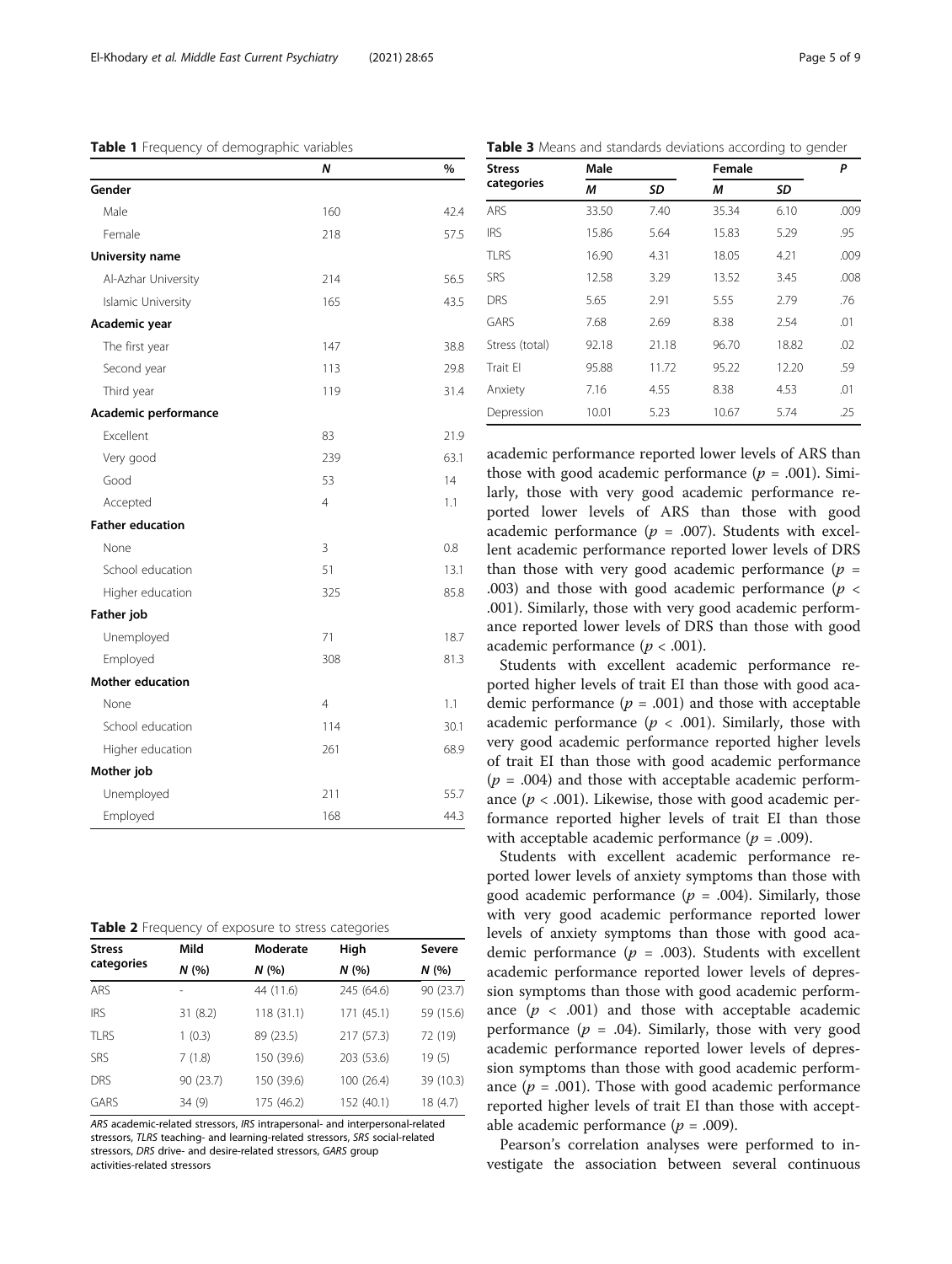## <span id="page-4-0"></span>Table 1 Frequency of demographic variables

|  |  |  |  |  | Table 3 Means and standards deviations according to gender |  |  |  |
|--|--|--|--|--|------------------------------------------------------------|--|--|--|
|--|--|--|--|--|------------------------------------------------------------|--|--|--|

|                         | Ν              | %    |
|-------------------------|----------------|------|
| Gender                  |                |      |
| Male                    | 160            | 42.4 |
| Female                  | 218            | 57.5 |
| University name         |                |      |
| Al-Azhar University     | 214            | 56.5 |
| Islamic University      | 165            | 43.5 |
| Academic year           |                |      |
| The first year          | 147            | 38.8 |
| Second year             | 113            | 29.8 |
| Third year              | 119            | 31.4 |
| Academic performance    |                |      |
| Excellent               | 83             | 21.9 |
| Very good               | 239            | 63.1 |
| Good                    | 53             | 14   |
| Accepted                | $\overline{4}$ | 1.1  |
| <b>Father education</b> |                |      |
| None                    | 3              | 0.8  |
| School education        | 51             | 13.1 |
| Higher education        | 325            | 85.8 |
| Father job              |                |      |
| Unemployed              | 71             | 18.7 |
| Employed                | 308            | 81.3 |
| Mother education        |                |      |
| None                    | $\overline{4}$ | 1.1  |
| School education        | 114            | 30.1 |
| Higher education        | 261            | 68.9 |
| Mother job              |                |      |
| Unemployed              | 211            | 55.7 |
| Employed                | 168            | 44.3 |

|  |  | Table 2 Frequency of exposure to stress categories |  |  |
|--|--|----------------------------------------------------|--|--|
|--|--|----------------------------------------------------|--|--|

| <b>Stress</b> | Mild      | Moderate   | High       | Severe    |
|---------------|-----------|------------|------------|-----------|
| categories    | N (%)     | N(%        | N(%        | N(%       |
| ARS           | ۰         | 44 (11.6)  | 245 (64.6) | 90 (23.7) |
| <b>IRS</b>    | 31(8.2)   | 118(31.1)  | 171(45.1)  | 59 (15.6) |
| <b>TLRS</b>   | 1(0.3)    | 89 (23.5)  | 217 (57.3) | 72 (19)   |
| <b>SRS</b>    | 7(1.8)    | 150 (39.6) | 203 (53.6) | 19(5)     |
| DRS           | 90 (23.7) | 150 (39.6) | 100 (26.4) | 39 (10.3) |
| GARS          | 34 (9)    | 175 (46.2) | 152 (40.1) | 18 (4.7)  |

ARS academic-related stressors, IRS intrapersonal- and interpersonal-related stressors, TLRS teaching- and learning-related stressors, SRS social-related stressors, DRS drive- and desire-related stressors, GARS group activities-related stressors

| <b>Stress</b>  | Male  |       | Female |       | Ρ    |
|----------------|-------|-------|--------|-------|------|
| categories     | М     | SD    | м      | SD    |      |
| ARS            | 33.50 | 7.40  | 35.34  | 6.10  | .009 |
| IRS            | 15.86 | 5.64  | 15.83  | 5.29  | .95  |
| <b>TLRS</b>    | 16.90 | 4.31  | 18.05  | 4.21  | .009 |
| SRS            | 12.58 | 3.29  | 13.52  | 3.45  | .008 |
| DRS            | 5.65  | 2.91  | 5.55   | 2.79  | .76  |
| GARS           | 7.68  | 2.69  | 8.38   | 2.54  | .01  |
| Stress (total) | 92.18 | 21.18 | 96.70  | 18.82 | .02  |
| Trait El       | 95.88 | 11.72 | 95.22  | 12.20 | .59  |
| Anxiety        | 7.16  | 4.55  | 8.38   | 4.53  | .01  |
| Depression     | 10.01 | 5.23  | 10.67  | 5.74  | .25  |

academic performance reported lower levels of ARS than those with good academic performance ( $p = .001$ ). Similarly, those with very good academic performance reported lower levels of ARS than those with good academic performance ( $p = .007$ ). Students with excellent academic performance reported lower levels of DRS than those with very good academic performance  $(p =$ .003) and those with good academic performance ( $p <$ .001). Similarly, those with very good academic performance reported lower levels of DRS than those with good academic performance ( $p < .001$ ).

Students with excellent academic performance reported higher levels of trait EI than those with good academic performance ( $p = .001$ ) and those with acceptable academic performance ( $p < .001$ ). Similarly, those with very good academic performance reported higher levels of trait EI than those with good academic performance  $(p = .004)$  and those with acceptable academic performance ( $p < .001$ ). Likewise, those with good academic performance reported higher levels of trait EI than those with acceptable academic performance ( $p = .009$ ).

Students with excellent academic performance reported lower levels of anxiety symptoms than those with good academic performance ( $p = .004$ ). Similarly, those with very good academic performance reported lower levels of anxiety symptoms than those with good academic performance ( $p = .003$ ). Students with excellent academic performance reported lower levels of depression symptoms than those with good academic performance  $(p < .001)$  and those with acceptable academic performance ( $p = .04$ ). Similarly, those with very good academic performance reported lower levels of depression symptoms than those with good academic performance ( $p = .001$ ). Those with good academic performance reported higher levels of trait EI than those with acceptable academic performance ( $p = .009$ ).

Pearson's correlation analyses were performed to investigate the association between several continuous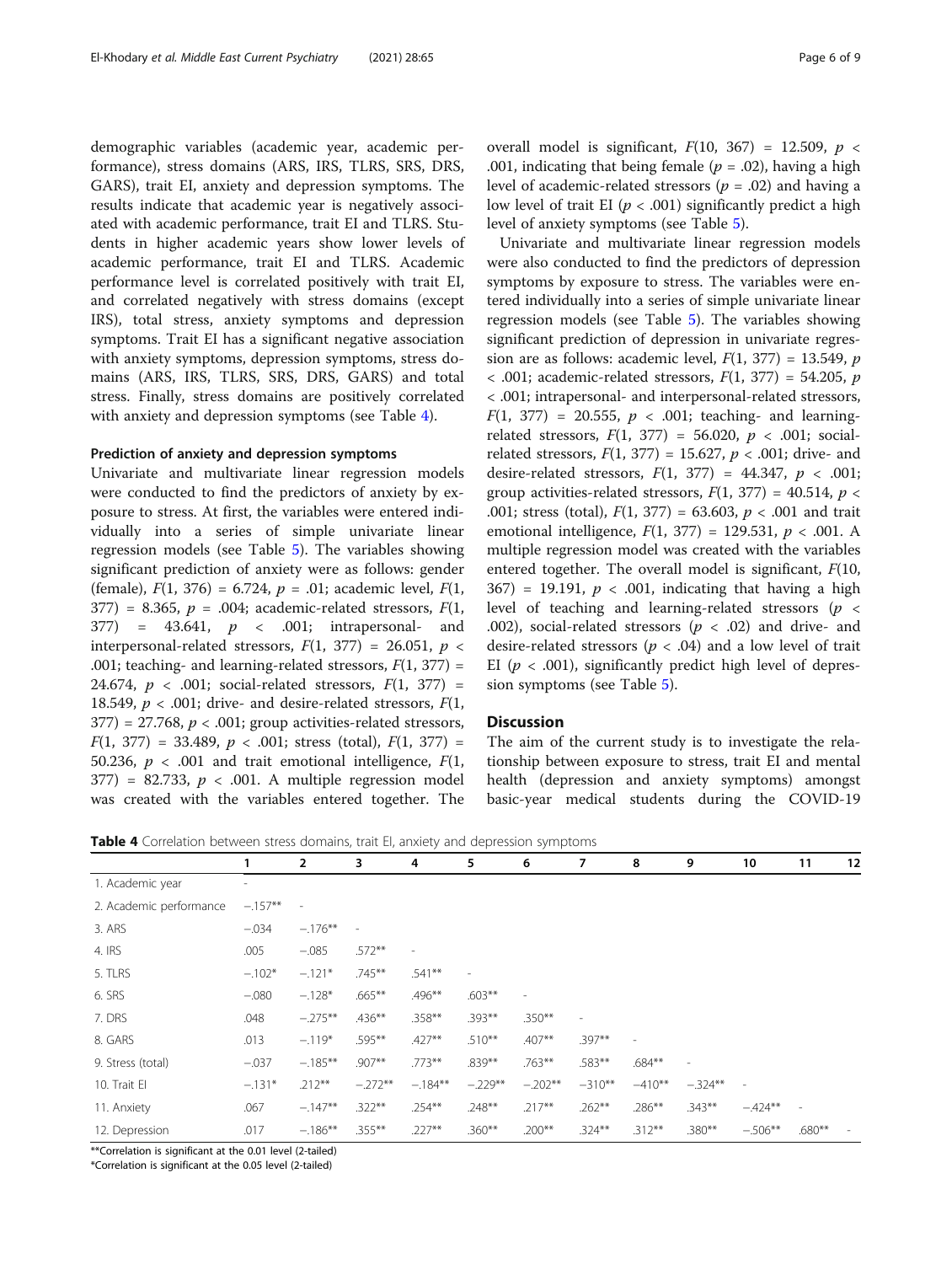demographic variables (academic year, academic performance), stress domains (ARS, IRS, TLRS, SRS, DRS, GARS), trait EI, anxiety and depression symptoms. The results indicate that academic year is negatively associated with academic performance, trait EI and TLRS. Students in higher academic years show lower levels of academic performance, trait EI and TLRS. Academic performance level is correlated positively with trait EI, and correlated negatively with stress domains (except IRS), total stress, anxiety symptoms and depression symptoms. Trait EI has a significant negative association with anxiety symptoms, depression symptoms, stress domains (ARS, IRS, TLRS, SRS, DRS, GARS) and total stress. Finally, stress domains are positively correlated with anxiety and depression symptoms (see Table 4).

## Prediction of anxiety and depression symptoms

Univariate and multivariate linear regression models were conducted to find the predictors of anxiety by exposure to stress. At first, the variables were entered individually into a series of simple univariate linear regression models (see Table [5\)](#page-6-0). The variables showing significant prediction of anxiety were as follows: gender (female),  $F(1, 376) = 6.724$ ,  $p = .01$ ; academic level,  $F(1, 16)$ 377) = 8.365,  $p = .004$ ; academic-related stressors,  $F(1, 1)$  $377$  =  $43.641$ ,  $p \le .001$ ; intrapersonal- and interpersonal-related stressors,  $F(1, 377) = 26.051$ ,  $p <$ .001; teaching- and learning-related stressors,  $F(1, 377) =$ 24.674,  $p \lt 0.001$ ; social-related stressors,  $F(1, 377) =$ 18.549,  $p < .001$ ; drive- and desire-related stressors,  $F(1, 1)$  $377$ ) = 27.768,  $p < .001$ ; group activities-related stressors,  $F(1, 377) = 33.489, p < .001$ ; stress (total),  $F(1, 377) =$ 50.236,  $p < .001$  and trait emotional intelligence,  $F(1)$ ,  $377$ ) = 82.733,  $p < .001$ . A multiple regression model was created with the variables entered together. The overall model is significant,  $F(10, 367) = 12.509$ ,  $p <$ .001, indicating that being female ( $p = .02$ ), having a high level of academic-related stressors ( $p = .02$ ) and having a low level of trait EI ( $p < .001$ ) significantly predict a high level of anxiety symptoms (see Table [5](#page-6-0)).

Univariate and multivariate linear regression models were also conducted to find the predictors of depression symptoms by exposure to stress. The variables were entered individually into a series of simple univariate linear regression models (see Table [5\)](#page-6-0). The variables showing significant prediction of depression in univariate regression are as follows: academic level,  $F(1, 377) = 13.549$ , p  $<$  .001; academic-related stressors,  $F(1, 377) = 54.205$ , p < .001; intrapersonal- and interpersonal-related stressors,  $F(1, 377) = 20.555$ ,  $p < .001$ ; teaching- and learningrelated stressors,  $F(1, 377) = 56.020, p < .001$ ; socialrelated stressors,  $F(1, 377) = 15.627$ ,  $p < .001$ ; drive- and desire-related stressors,  $F(1, 377) = 44.347$ ,  $p < .001$ ; group activities-related stressors,  $F(1, 377) = 40.514$ ,  $p \le$ .001; stress (total),  $F(1, 377) = 63.603$ ,  $p < .001$  and trait emotional intelligence,  $F(1, 377) = 129.531, p < .001$ . A multiple regression model was created with the variables entered together. The overall model is significant,  $F(10, 10)$  $367$  = 19.191,  $p < .001$ , indicating that having a high level of teaching and learning-related stressors ( $p \leq$ .002), social-related stressors ( $p < .02$ ) and drive- and desire-related stressors ( $p < .04$ ) and a low level of trait EI ( $p < .001$ ), significantly predict high level of depression symptoms (see Table [5\)](#page-6-0).

## Discussion

The aim of the current study is to investigate the relationship between exposure to stress, trait EI and mental health (depression and anxiety symptoms) amongst basic-year medical students during the COVID-19

**Table 4** Correlation between stress domains, trait EI, anxiety and depression symptoms

|                         |                          | $\overline{2}$ | 3                        | 4                        | 5                        | 6              | 7         | 8         | 9         | 10                       | 11                       | 12 |
|-------------------------|--------------------------|----------------|--------------------------|--------------------------|--------------------------|----------------|-----------|-----------|-----------|--------------------------|--------------------------|----|
| 1. Academic year        | $\overline{\phantom{0}}$ |                |                          |                          |                          |                |           |           |           |                          |                          |    |
| 2. Academic performance | $-.157**$                | ÷,             |                          |                          |                          |                |           |           |           |                          |                          |    |
| 3. ARS                  | $-.034$                  | $-.176***$     | $\overline{\phantom{a}}$ |                          |                          |                |           |           |           |                          |                          |    |
| 4. IRS                  | .005                     | $-.085$        | $.572**$                 | $\overline{\phantom{a}}$ |                          |                |           |           |           |                          |                          |    |
| 5. TLRS                 | $-.102*$                 | $-.121*$       | $.745***$                | $.541**$                 | $\overline{\phantom{a}}$ |                |           |           |           |                          |                          |    |
| 6. SRS                  | $-.080$                  | $-.128*$       | $.665***$                | .496**                   | $.603**$                 | $\overline{a}$ |           |           |           |                          |                          |    |
| 7. DRS                  | .048                     | $-.275**$      | $.436***$                | .358**                   | $.393**$                 | $.350**$       | ٠         |           |           |                          |                          |    |
| 8. GARS                 | .013                     | $-.119*$       | .595**                   | $.427**$                 | $.510***$                | $.407**$       | $.397**$  |           |           |                          |                          |    |
| 9. Stress (total)       | $-.037$                  | $-.185***$     | $.907**$                 | $.773**$                 | $.839**$                 | $.763***$      | .583**    | $.684**$  |           |                          |                          |    |
| 10. Trait El            | $-.131*$                 | $.212***$      | $-.272**$                | $-.184**$                | $-.229**$                | $-.202**$      | $-310***$ | $-410**$  | $-.324**$ | $\overline{\phantom{a}}$ |                          |    |
| 11. Anxiety             | .067                     | $-.147**$      | $.322***$                | $.254***$                | $.248**$                 | $.217**$       | $.262**$  | .286**    | $.343**$  | $-.424**$                | $\overline{\phantom{a}}$ |    |
| 12. Depression          | .017                     | $-.186**$      | $.355***$                | $.227**$                 | $.360***$                | $.200***$      | $.324***$ | $.312***$ | $.380**$  | $-.506**$                | $.680**$                 |    |

\*\*Correlation is significant at the 0.01 level (2-tailed)

\*Correlation is significant at the 0.05 level (2-tailed)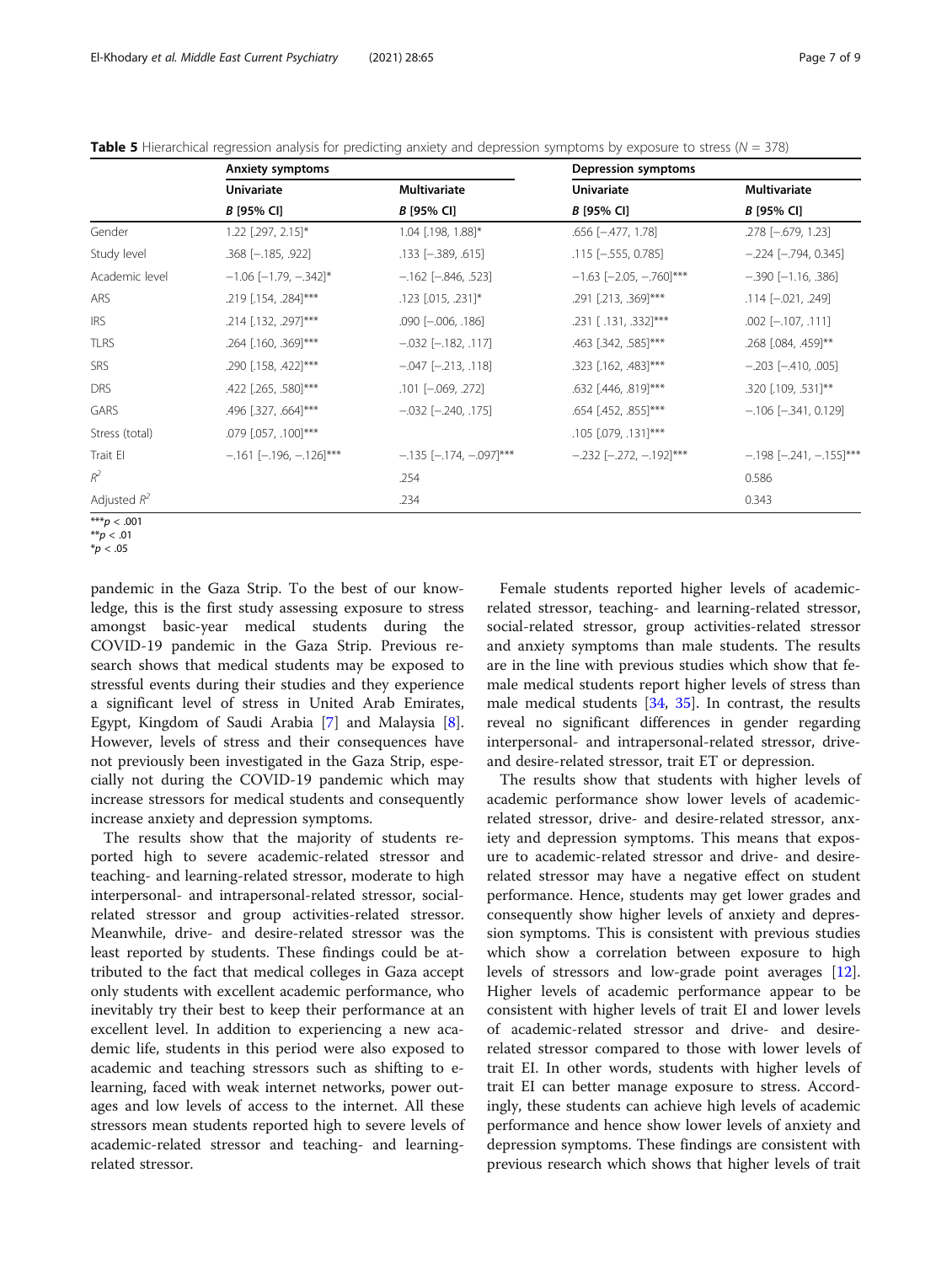<span id="page-6-0"></span>

| Table 5 Hierarchical regression analysis for predicting anxiety and depression symptoms by exposure to stress ( $N = 378$ ) |  |  |  |  |
|-----------------------------------------------------------------------------------------------------------------------------|--|--|--|--|
|                                                                                                                             |  |  |  |  |

|                | <b>Anxiety symptoms</b>       |                               | Depression symptoms           |                               |
|----------------|-------------------------------|-------------------------------|-------------------------------|-------------------------------|
|                | <b>Univariate</b>             | <b>Multivariate</b>           | <b>Univariate</b>             | Multivariate                  |
|                | B [95% CI]                    | B [95% CI]                    | <b>B</b> [95% CI]             | B [95% CI]                    |
| Gender         | $1.22$ [.297, 2.15]*          | 1.04 [.198, 1.88]*            | $.656$ $[-.477, 1.78]$        | .278 [-.679, 1.23]            |
| Study level    | $.368$ $[-.185, .922]$        | $.133$ $[-.389, .615]$        | $.115$ $[-.555, 0.785]$       | $-.224$ [ $-.794$ , 0.345]    |
| Academic level | $-1.06$ [-1.79, -.342]*       | $-.162$ $[-.846, .523]$       | $-1.63$ [-2.05, -.760]***     | $-.390$ [-1.16, .386]         |
| ARS            | .219 [.154, .284]***          | .123 [.015, .231]*            | .291 [.213, .369]***          | $.114$ $[-.021, .249]$        |
| <b>IRS</b>     | .214 [.132, .297]***          | $.090$ $[-.006, .186]$        | .231 [.131, .332]***          | $.002$ [ $-.107, .111$ ]      |
| <b>TLRS</b>    | .264 [.160, .369]***          | $-.032$ $[-.182, .117]$       | .463 [.342, .585]***          | .268 [.084, .459]**           |
| <b>SRS</b>     | .290 [.158, .422]***          | $-.047$ $[-.213, .118]$       | .323 [.162, .483]***          | $-.203$ $[-.410, .005]$       |
| <b>DRS</b>     | .422 [.265, .580] ***         | $.101$ $[-.069, .272]$        | .632 [.446, .819]***          | .320 [.109, .531]**           |
| GARS           | .496 [.327, .664]***          | $-.032$ $[-.240, .175]$       | .654 [.452, .855]***          | $-106$ [ $-341$ , 0.129]      |
| Stress (total) | .079 [.057, .100] ***         |                               | $.105$ $[.079, .131]$ ***     |                               |
| Trait El       | $-.161$ [ $-.196, -.126$ ]*** | $-.135$ [ $-.174, -.097$ ]*** | $-.232$ [ $-.272, -.192$ ]*** | $-198$ [ $-241$ , $-155$ ]*** |
| $R^2$          |                               | .254                          |                               | 0.586                         |
| Adjusted $R^2$ |                               | .234                          |                               | 0.343                         |
| $*** - -0.01$  |                               |                               |                               |                               |

 $^*p < .001$  $* p < .01$ 

pandemic in the Gaza Strip. To the best of our knowledge, this is the first study assessing exposure to stress amongst basic-year medical students during the COVID-19 pandemic in the Gaza Strip. Previous research shows that medical students may be exposed to stressful events during their studies and they experience a significant level of stress in United Arab Emirates, Egypt, Kingdom of Saudi Arabia [\[7](#page-8-0)] and Malaysia [\[8](#page-8-0)]. However, levels of stress and their consequences have not previously been investigated in the Gaza Strip, especially not during the COVID-19 pandemic which may increase stressors for medical students and consequently increase anxiety and depression symptoms.

The results show that the majority of students reported high to severe academic-related stressor and teaching- and learning-related stressor, moderate to high interpersonal- and intrapersonal-related stressor, socialrelated stressor and group activities-related stressor. Meanwhile, drive- and desire-related stressor was the least reported by students. These findings could be attributed to the fact that medical colleges in Gaza accept only students with excellent academic performance, who inevitably try their best to keep their performance at an excellent level. In addition to experiencing a new academic life, students in this period were also exposed to academic and teaching stressors such as shifting to elearning, faced with weak internet networks, power outages and low levels of access to the internet. All these stressors mean students reported high to severe levels of academic-related stressor and teaching- and learningrelated stressor.

Female students reported higher levels of academicrelated stressor, teaching- and learning-related stressor, social-related stressor, group activities-related stressor and anxiety symptoms than male students. The results are in the line with previous studies which show that female medical students report higher levels of stress than male medical students  $[34, 35]$  $[34, 35]$  $[34, 35]$  $[34, 35]$ . In contrast, the results reveal no significant differences in gender regarding interpersonal- and intrapersonal-related stressor, driveand desire-related stressor, trait ET or depression.

The results show that students with higher levels of academic performance show lower levels of academicrelated stressor, drive- and desire-related stressor, anxiety and depression symptoms. This means that exposure to academic-related stressor and drive- and desirerelated stressor may have a negative effect on student performance. Hence, students may get lower grades and consequently show higher levels of anxiety and depression symptoms. This is consistent with previous studies which show a correlation between exposure to high levels of stressors and low-grade point averages [\[12](#page-8-0)]. Higher levels of academic performance appear to be consistent with higher levels of trait EI and lower levels of academic-related stressor and drive- and desirerelated stressor compared to those with lower levels of trait EI. In other words, students with higher levels of trait EI can better manage exposure to stress. Accordingly, these students can achieve high levels of academic performance and hence show lower levels of anxiety and depression symptoms. These findings are consistent with previous research which shows that higher levels of trait

 $*_{p}$  < .05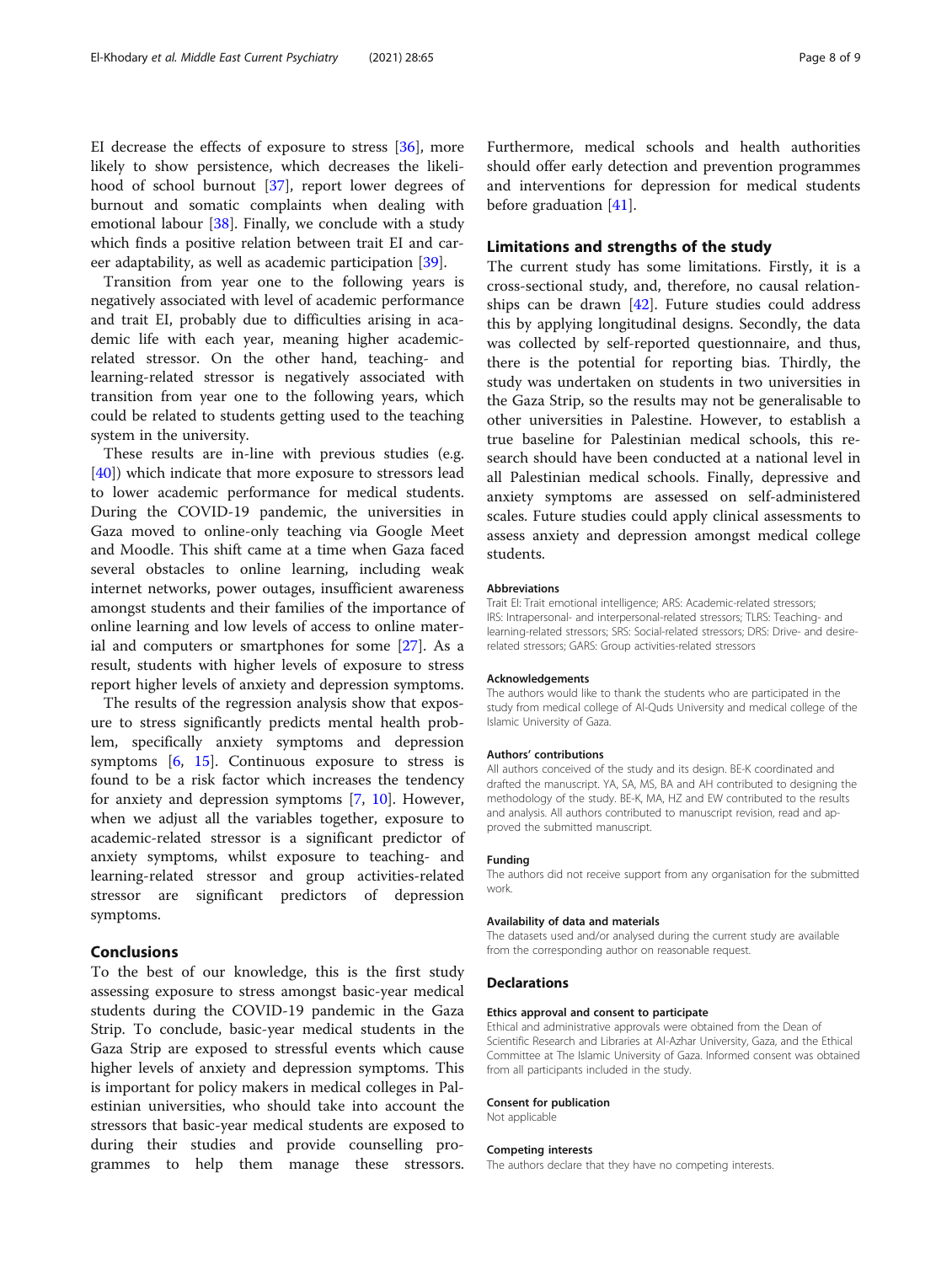EI decrease the effects of exposure to stress [[36\]](#page-8-0), more likely to show persistence, which decreases the likelihood of school burnout [\[37](#page-8-0)], report lower degrees of burnout and somatic complaints when dealing with emotional labour [[38\]](#page-8-0). Finally, we conclude with a study which finds a positive relation between trait EI and career adaptability, as well as academic participation [[39\]](#page-8-0).

Transition from year one to the following years is negatively associated with level of academic performance and trait EI, probably due to difficulties arising in academic life with each year, meaning higher academicrelated stressor. On the other hand, teaching- and learning-related stressor is negatively associated with transition from year one to the following years, which could be related to students getting used to the teaching system in the university.

These results are in-line with previous studies (e.g. [[40\]](#page-8-0)) which indicate that more exposure to stressors lead to lower academic performance for medical students. During the COVID-19 pandemic, the universities in Gaza moved to online-only teaching via Google Meet and Moodle. This shift came at a time when Gaza faced several obstacles to online learning, including weak internet networks, power outages, insufficient awareness amongst students and their families of the importance of online learning and low levels of access to online material and computers or smartphones for some [[27\]](#page-8-0). As a result, students with higher levels of exposure to stress report higher levels of anxiety and depression symptoms.

The results of the regression analysis show that exposure to stress significantly predicts mental health problem, specifically anxiety symptoms and depression symptoms  $[6, 15]$  $[6, 15]$  $[6, 15]$  $[6, 15]$ . Continuous exposure to stress is found to be a risk factor which increases the tendency for anxiety and depression symptoms [\[7](#page-8-0), [10](#page-8-0)]. However, when we adjust all the variables together, exposure to academic-related stressor is a significant predictor of anxiety symptoms, whilst exposure to teaching- and learning-related stressor and group activities-related stressor are significant predictors of depression symptoms.

## Conclusions

To the best of our knowledge, this is the first study assessing exposure to stress amongst basic-year medical students during the COVID-19 pandemic in the Gaza Strip. To conclude, basic-year medical students in the Gaza Strip are exposed to stressful events which cause higher levels of anxiety and depression symptoms. This is important for policy makers in medical colleges in Palestinian universities, who should take into account the stressors that basic-year medical students are exposed to during their studies and provide counselling programmes to help them manage these stressors.

should offer early detection and prevention programmes and interventions for depression for medical students before graduation [\[41](#page-8-0)].

## Limitations and strengths of the study

The current study has some limitations. Firstly, it is a cross-sectional study, and, therefore, no causal relationships can be drawn [[42](#page-8-0)]. Future studies could address this by applying longitudinal designs. Secondly, the data was collected by self-reported questionnaire, and thus, there is the potential for reporting bias. Thirdly, the study was undertaken on students in two universities in the Gaza Strip, so the results may not be generalisable to other universities in Palestine. However, to establish a true baseline for Palestinian medical schools, this research should have been conducted at a national level in all Palestinian medical schools. Finally, depressive and anxiety symptoms are assessed on self-administered scales. Future studies could apply clinical assessments to assess anxiety and depression amongst medical college students.

#### Abbreviations

Trait EI: Trait emotional intelligence; ARS: Academic-related stressors; IRS: Intrapersonal- and interpersonal-related stressors; TLRS: Teaching- and learning-related stressors; SRS: Social-related stressors; DRS: Drive- and desirerelated stressors; GARS: Group activities-related stressors

#### Acknowledgements

The authors would like to thank the students who are participated in the study from medical college of Al-Quds University and medical college of the Islamic University of Gaza.

#### Authors' contributions

All authors conceived of the study and its design. BE-K coordinated and drafted the manuscript. YA, SA, MS, BA and AH contributed to designing the methodology of the study. BE-K, MA, HZ and EW contributed to the results and analysis. All authors contributed to manuscript revision, read and approved the submitted manuscript.

#### Funding

The authors did not receive support from any organisation for the submitted work.

#### Availability of data and materials

The datasets used and/or analysed during the current study are available from the corresponding author on reasonable request.

## **Declarations**

#### Ethics approval and consent to participate

Ethical and administrative approvals were obtained from the Dean of Scientific Research and Libraries at Al-Azhar University, Gaza, and the Ethical Committee at The Islamic University of Gaza. Informed consent was obtained from all participants included in the study.

#### Consent for publication

Not applicable

#### Competing interests

The authors declare that they have no competing interests.